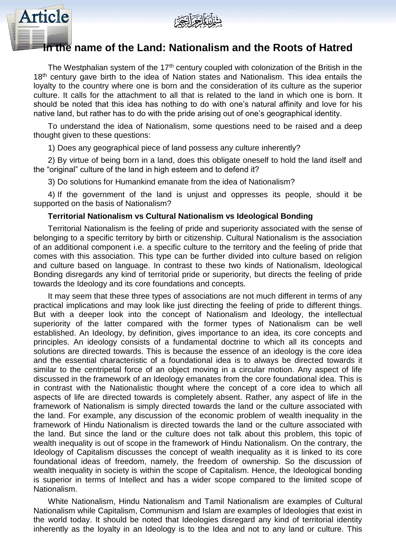



# **In the name of the Land: Nationalism and the Roots of Hatred**

The Westphalian system of the  $17<sup>th</sup>$  century coupled with colonization of the British in the 18<sup>th</sup> century gave birth to the idea of Nation states and Nationalism. This idea entails the loyalty to the country where one is born and the consideration of its culture as the superior culture. It calls for the attachment to all that is related to the land in which one is born. It should be noted that this idea has nothing to do with one's natural affinity and love for his native land, but rather has to do with the pride arising out of one's geographical identity.

To understand the idea of Nationalism, some questions need to be raised and a deep thought given to these questions:

1) Does any geographical piece of land possess any culture inherently?

2) By virtue of being born in a land, does this obligate oneself to hold the land itself and the "original" culture of the land in high esteem and to defend it?

3) Do solutions for Humankind emanate from the idea of Nationalism?

4) If the government of the land is unjust and oppresses its people, should it be supported on the basis of Nationalism?

### **Territorial Nationalism vs Cultural Nationalism vs Ideological Bonding**

Territorial Nationalism is the feeling of pride and superiority associated with the sense of belonging to a specific territory by birth or citizenship. Cultural Nationalism is the association of an additional component i.e. a specific culture to the territory and the feeling of pride that comes with this association. This type can be further divided into culture based on religion and culture based on language. In contrast to these two kinds of Nationalism, Ideological Bonding disregards any kind of territorial pride or superiority, but directs the feeling of pride towards the Ideology and its core foundations and concepts.

It may seem that these three types of associations are not much different in terms of any practical implications and may look like just directing the feeling of pride to different things. But with a deeper look into the concept of Nationalism and Ideology, the intellectual superiority of the latter compared with the former types of Nationalism can be well established. An Ideology, by definition, gives importance to an idea, its core concepts and principles. An ideology consists of a fundamental doctrine to which all its concepts and solutions are directed towards. This is because the essence of an ideology is the core idea and the essential characteristic of a foundational idea is to always be directed towards it similar to the centripetal force of an object moving in a circular motion. Any aspect of life discussed in the framework of an Ideology emanates from the core foundational idea. This is in contrast with the Nationalistic thought where the concept of a core idea to which all aspects of life are directed towards is completely absent. Rather, any aspect of life in the framework of Nationalism is simply directed towards the land or the culture associated with the land. For example, any discussion of the economic problem of wealth inequality in the framework of Hindu Nationalism is directed towards the land or the culture associated with the land. But since the land or the culture does not talk about this problem, this topic of wealth inequality is out of scope in the framework of Hindu Nationalism. On the contrary, the Ideology of Capitalism discusses the concept of wealth inequality as it is linked to its core foundational ideas of freedom, namely, the freedom of ownership. So the discussion of wealth inequality in society is within the scope of Capitalism. Hence, the Ideological bonding is superior in terms of Intellect and has a wider scope compared to the limited scope of Nationalism.

White Nationalism, Hindu Nationalism and Tamil Nationalism are examples of Cultural Nationalism while Capitalism, Communism and Islam are examples of Ideologies that exist in the world today. It should be noted that Ideologies disregard any kind of territorial identity inherently as the loyalty in an Ideology is to the Idea and not to any land or culture. This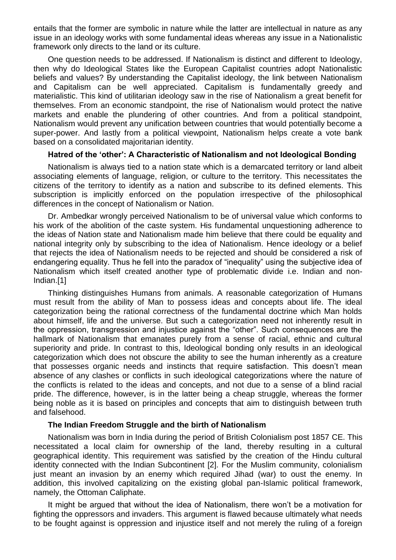entails that the former are symbolic in nature while the latter are intellectual in nature as any issue in an ideology works with some fundamental ideas whereas any issue in a Nationalistic framework only directs to the land or its culture.

One question needs to be addressed. If Nationalism is distinct and different to Ideology, then why do Ideological States like the European Capitalist countries adopt Nationalistic beliefs and values? By understanding the Capitalist ideology, the link between Nationalism and Capitalism can be well appreciated. Capitalism is fundamentally greedy and materialistic. This kind of utilitarian ideology saw in the rise of Nationalism a great benefit for themselves. From an economic standpoint, the rise of Nationalism would protect the native markets and enable the plundering of other countries. And from a political standpoint, Nationalism would prevent any unification between countries that would potentially become a super-power. And lastly from a political viewpoint, Nationalism helps create a vote bank based on a consolidated majoritarian identity.

# **Hatred of the 'other': A Characteristic of Nationalism and not Ideological Bonding**

Nationalism is always tied to a nation state which is a demarcated territory or land albeit associating elements of language, religion, or culture to the territory. This necessitates the citizens of the territory to identify as a nation and subscribe to its defined elements. This subscription is implicitly enforced on the population irrespective of the philosophical differences in the concept of Nationalism or Nation.

Dr. Ambedkar wrongly perceived Nationalism to be of universal value which conforms to his work of the abolition of the caste system. His fundamental unquestioning adherence to the ideas of Nation state and Nationalism made him believe that there could be equality and national integrity only by subscribing to the idea of Nationalism. Hence ideology or a belief that rejects the idea of Nationalism needs to be rejected and should be considered a risk of endangering equality. Thus he fell into the paradox of "inequality" using the subjective idea of Nationalism which itself created another type of problematic divide i.e. Indian and non-Indian.[1]

Thinking distinguishes Humans from animals. A reasonable categorization of Humans must result from the ability of Man to possess ideas and concepts about life. The ideal categorization being the rational correctness of the fundamental doctrine which Man holds about himself, life and the universe. But such a categorization need not inherently result in the oppression, transgression and injustice against the "other". Such consequences are the hallmark of Nationalism that emanates purely from a sense of racial, ethnic and cultural superiority and pride. In contrast to this, Ideological bonding only results in an ideological categorization which does not obscure the ability to see the human inherently as a creature that possesses organic needs and instincts that require satisfaction. This doesn't mean absence of any clashes or conflicts in such ideological categorizations where the nature of the conflicts is related to the ideas and concepts, and not due to a sense of a blind racial pride. The difference, however, is in the latter being a cheap struggle, whereas the former being noble as it is based on principles and concepts that aim to distinguish between truth and falsehood.

### **The Indian Freedom Struggle and the birth of Nationalism**

Nationalism was born in India during the period of British Colonialism post 1857 CE. This necessitated a local claim for ownership of the land, thereby resulting in a cultural geographical identity. This requirement was satisfied by the creation of the Hindu cultural identity connected with the Indian Subcontinent [2]. For the Muslim community, colonialism just meant an invasion by an enemy which required Jihad (war) to oust the enemy. In addition, this involved capitalizing on the existing global pan-Islamic political framework, namely, the Ottoman Caliphate.

It might be argued that without the idea of Nationalism, there won't be a motivation for fighting the oppressors and invaders. This argument is flawed because ultimately what needs to be fought against is oppression and injustice itself and not merely the ruling of a foreign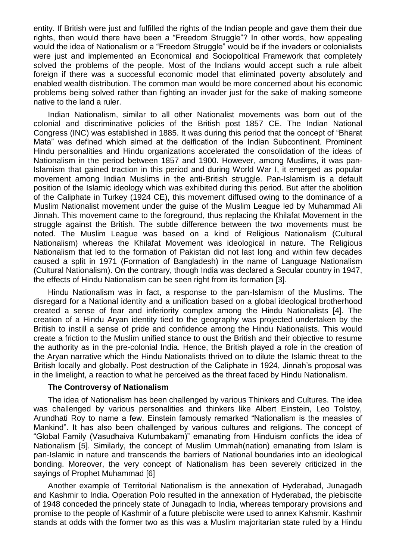entity. If British were just and fulfilled the rights of the Indian people and gave them their due rights, then would there have been a "Freedom Struggle"? In other words, how appealing would the idea of Nationalism or a "Freedom Struggle" would be if the invaders or colonialists were just and implemented an Economical and Sociopolitical Framework that completely solved the problems of the people. Most of the Indians would accept such a rule albeit foreign if there was a successful economic model that eliminated poverty absolutely and enabled wealth distribution. The common man would be more concerned about his economic problems being solved rather than fighting an invader just for the sake of making someone native to the land a ruler.

Indian Nationalism, similar to all other Nationalist movements was born out of the colonial and discriminative policies of the British post 1857 CE. The Indian National Congress (INC) was established in 1885. It was during this period that the concept of "Bharat Mata" was defined which aimed at the deification of the Indian Subcontinent. Prominent Hindu personalities and Hindu organizations accelerated the consolidation of the ideas of Nationalism in the period between 1857 and 1900. However, among Muslims, it was pan-Islamism that gained traction in this period and during World War I, it emerged as popular movement among Indian Muslims in the anti-British struggle. Pan-Islamism is a default position of the Islamic ideology which was exhibited during this period. But after the abolition of the Caliphate in Turkey (1924 CE), this movement diffused owing to the dominance of a Muslim Nationalist movement under the guise of the Muslim League led by Muhammad Ali Jinnah. This movement came to the foreground, thus replacing the Khilafat Movement in the struggle against the British. The subtle difference between the two movements must be noted. The Muslim League was based on a kind of Religious Nationalism (Cultural Nationalism) whereas the Khilafat Movement was ideological in nature. The Religious Nationalism that led to the formation of Pakistan did not last long and within few decades caused a split in 1971 (Formation of Bangladesh) in the name of Language Nationalism (Cultural Nationalism). On the contrary, though India was declared a Secular country in 1947, the effects of Hindu Nationalism can be seen right from its formation [3].

Hindu Nationalism was in fact, a response to the pan-Islamism of the Muslims. The disregard for a National identity and a unification based on a global ideological brotherhood created a sense of fear and inferiority complex among the Hindu Nationalists [4]. The creation of a Hindu Aryan identity tied to the geography was projected undertaken by the British to instill a sense of pride and confidence among the Hindu Nationalists. This would create a friction to the Muslim unified stance to oust the British and their objective to resume the authority as in the pre-colonial India. Hence, the British played a role in the creation of the Aryan narrative which the Hindu Nationalists thrived on to dilute the Islamic threat to the British locally and globally. Post destruction of the Caliphate in 1924, Jinnah's proposal was in the limelight, a reaction to what he perceived as the threat faced by Hindu Nationalism.

### **The Controversy of Nationalism**

The idea of Nationalism has been challenged by various Thinkers and Cultures. The idea was challenged by various personalities and thinkers like Albert Einstein, Leo Tolstoy, Arundhati Roy to name a few. Einstein famously remarked "Nationalism is the measles of Mankind". It has also been challenged by various cultures and religions. The concept of "Global Family (Vasudhaiva Kutumbakam)" emanating from Hinduism conflicts the idea of Nationalism [5]. Similarly, the concept of Muslim Ummah(nation) emanating from Islam is pan-Islamic in nature and transcends the barriers of National boundaries into an ideological bonding. Moreover, the very concept of Nationalism has been severely criticized in the sayings of Prophet Muhammad [6]

Another example of Territorial Nationalism is the annexation of Hyderabad, Junagadh and Kashmir to India. Operation Polo resulted in the annexation of Hyderabad, the plebiscite of 1948 conceded the princely state of Junagadh to India, whereas temporary provisions and promise to the people of Kashmir of a future plebiscite were used to annex Kahsmir. Kashmir stands at odds with the former two as this was a Muslim majoritarian state ruled by a Hindu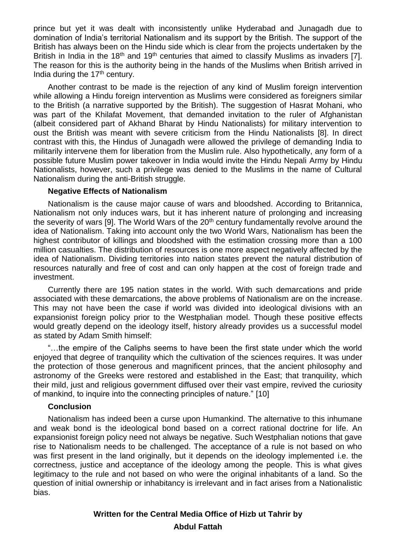prince but yet it was dealt with inconsistently unlike Hyderabad and Junagadh due to domination of India's territorial Nationalism and its support by the British. The support of the British has always been on the Hindu side which is clear from the projects undertaken by the British in India in the 18<sup>th</sup> and 19<sup>th</sup> centuries that aimed to classify Muslims as invaders [7]. The reason for this is the authority being in the hands of the Muslims when British arrived in India during the  $17<sup>th</sup>$  century.

Another contrast to be made is the rejection of any kind of Muslim foreign intervention while allowing a Hindu foreign intervention as Muslims were considered as foreigners similar to the British (a narrative supported by the British). The suggestion of Hasrat Mohani, who was part of the Khilafat Movement, that demanded invitation to the ruler of Afghanistan (albeit considered part of Akhand Bharat by Hindu Nationalists) for military intervention to oust the British was meant with severe criticism from the Hindu Nationalists [8]. In direct contrast with this, the Hindus of Junagadh were allowed the privilege of demanding India to militarily intervene them for liberation from the Muslim rule. Also hypothetically, any form of a possible future Muslim power takeover in India would invite the Hindu Nepali Army by Hindu Nationalists, however, such a privilege was denied to the Muslims in the name of Cultural Nationalism during the anti-British struggle.

## **Negative Effects of Nationalism**

Nationalism is the cause major cause of wars and bloodshed. According to Britannica, Nationalism not only induces wars, but it has inherent nature of prolonging and increasing the severity of wars [9]. The World Wars of the  $20<sup>th</sup>$  century fundamentally revolve around the idea of Nationalism. Taking into account only the two World Wars, Nationalism has been the highest contributor of killings and bloodshed with the estimation crossing more than a 100 million casualties. The distribution of resources is one more aspect negatively affected by the idea of Nationalism. Dividing territories into nation states prevent the natural distribution of resources naturally and free of cost and can only happen at the cost of foreign trade and investment.

Currently there are 195 nation states in the world. With such demarcations and pride associated with these demarcations, the above problems of Nationalism are on the increase. This may not have been the case if world was divided into ideological divisions with an expansionist foreign policy prior to the Westphalian model. Though these positive effects would greatly depend on the ideology itself, history already provides us a successful model as stated by Adam Smith himself:

"…the empire of the Caliphs seems to have been the first state under which the world enjoyed that degree of tranquility which the cultivation of the sciences requires. It was under the protection of those generous and magnificent princes, that the ancient philosophy and astronomy of the Greeks were restored and established in the East; that tranquility, which their mild, just and religious government diffused over their vast empire, revived the curiosity of mankind, to inquire into the connecting principles of nature." [10]

# **Conclusion**

Nationalism has indeed been a curse upon Humankind. The alternative to this inhumane and weak bond is the ideological bond based on a correct rational doctrine for life. An expansionist foreign policy need not always be negative. Such Westphalian notions that gave rise to Nationalism needs to be challenged. The acceptance of a rule is not based on who was first present in the land originally, but it depends on the ideology implemented i.e. the correctness, justice and acceptance of the ideology among the people. This is what gives legitimacy to the rule and not based on who were the original inhabitants of a land. So the question of initial ownership or inhabitancy is irrelevant and in fact arises from a Nationalistic bias.

# **Written for the Central Media Office of Hizb ut Tahrir by Abdul Fattah**